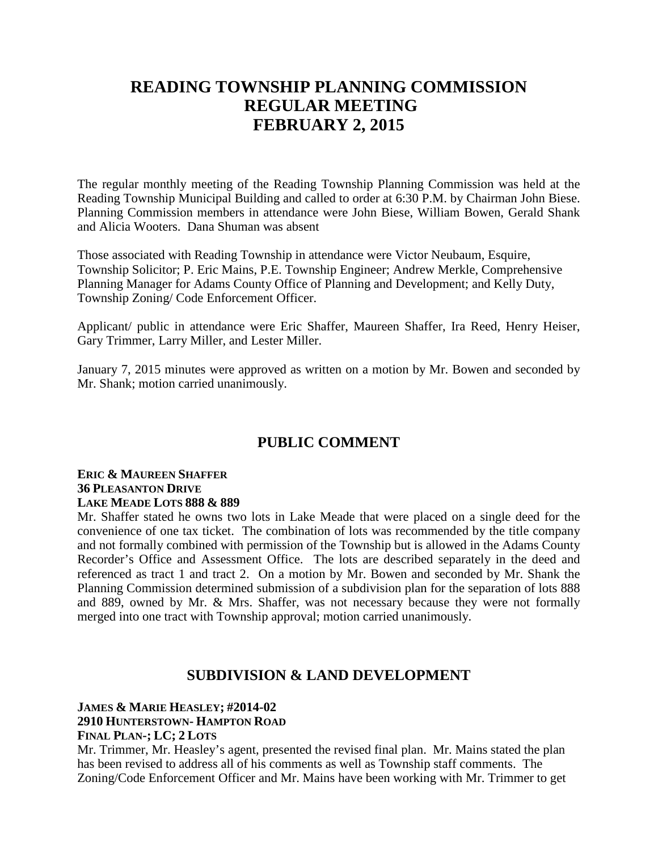# **READING TOWNSHIP PLANNING COMMISSION REGULAR MEETING FEBRUARY 2, 2015**

The regular monthly meeting of the Reading Township Planning Commission was held at the Reading Township Municipal Building and called to order at 6:30 P.M. by Chairman John Biese. Planning Commission members in attendance were John Biese, William Bowen, Gerald Shank and Alicia Wooters. Dana Shuman was absent

Those associated with Reading Township in attendance were Victor Neubaum, Esquire, Township Solicitor; P. Eric Mains, P.E. Township Engineer; Andrew Merkle, Comprehensive Planning Manager for Adams County Office of Planning and Development; and Kelly Duty, Township Zoning/ Code Enforcement Officer.

Applicant/ public in attendance were Eric Shaffer, Maureen Shaffer, Ira Reed, Henry Heiser, Gary Trimmer, Larry Miller, and Lester Miller.

January 7, 2015 minutes were approved as written on a motion by Mr. Bowen and seconded by Mr. Shank; motion carried unanimously.

# **PUBLIC COMMENT**

#### **ERIC & MAUREEN SHAFFER 36 PLEASANTON DRIVE LAKE MEADE LOTS 888 & 889**

Mr. Shaffer stated he owns two lots in Lake Meade that were placed on a single deed for the convenience of one tax ticket. The combination of lots was recommended by the title company and not formally combined with permission of the Township but is allowed in the Adams County Recorder's Office and Assessment Office. The lots are described separately in the deed and referenced as tract 1 and tract 2. On a motion by Mr. Bowen and seconded by Mr. Shank the Planning Commission determined submission of a subdivision plan for the separation of lots 888 and 889, owned by Mr. & Mrs. Shaffer, was not necessary because they were not formally merged into one tract with Township approval; motion carried unanimously.

### **SUBDIVISION & LAND DEVELOPMENT**

#### **JAMES & MARIE HEASLEY; #2014-02 2910 HUNTERSTOWN- HAMPTON ROAD FINAL PLAN-; LC; 2 LOTS**

Mr. Trimmer, Mr. Heasley's agent, presented the revised final plan. Mr. Mains stated the plan has been revised to address all of his comments as well as Township staff comments. The Zoning/Code Enforcement Officer and Mr. Mains have been working with Mr. Trimmer to get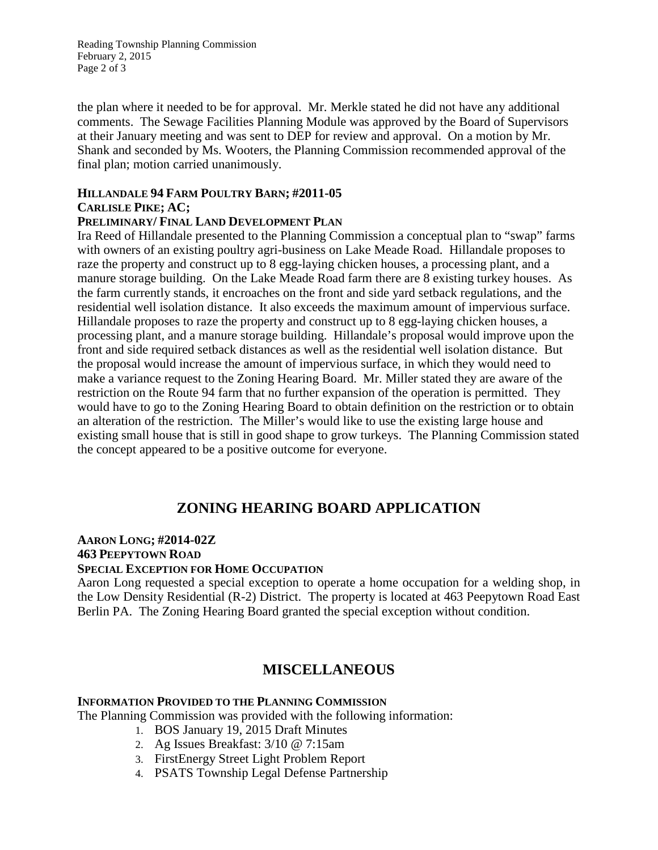Reading Township Planning Commission February 2, 2015 Page 2 of 3

the plan where it needed to be for approval. Mr. Merkle stated he did not have any additional comments. The Sewage Facilities Planning Module was approved by the Board of Supervisors at their January meeting and was sent to DEP for review and approval. On a motion by Mr. Shank and seconded by Ms. Wooters, the Planning Commission recommended approval of the final plan; motion carried unanimously.

#### **HILLANDALE 94 FARM POULTRY BARN; #2011-05 CARLISLE PIKE; AC;**

### **PRELIMINARY/ FINAL LAND DEVELOPMENT PLAN**

Ira Reed of Hillandale presented to the Planning Commission a conceptual plan to "swap" farms with owners of an existing poultry agri-business on Lake Meade Road. Hillandale proposes to raze the property and construct up to 8 egg-laying chicken houses, a processing plant, and a manure storage building. On the Lake Meade Road farm there are 8 existing turkey houses. As the farm currently stands, it encroaches on the front and side yard setback regulations, and the residential well isolation distance. It also exceeds the maximum amount of impervious surface. Hillandale proposes to raze the property and construct up to 8 egg-laying chicken houses, a processing plant, and a manure storage building. Hillandale's proposal would improve upon the front and side required setback distances as well as the residential well isolation distance. But the proposal would increase the amount of impervious surface, in which they would need to make a variance request to the Zoning Hearing Board. Mr. Miller stated they are aware of the restriction on the Route 94 farm that no further expansion of the operation is permitted. They would have to go to the Zoning Hearing Board to obtain definition on the restriction or to obtain an alteration of the restriction. The Miller's would like to use the existing large house and existing small house that is still in good shape to grow turkeys. The Planning Commission stated the concept appeared to be a positive outcome for everyone.

### **ZONING HEARING BOARD APPLICATION**

### **AARON LONG; #2014-02Z**

#### **463 PEEPYTOWN ROAD**

### **SPECIAL EXCEPTION FOR HOME OCCUPATION**

Aaron Long requested a special exception to operate a home occupation for a welding shop, in the Low Density Residential (R-2) District. The property is located at 463 Peepytown Road East Berlin PA. The Zoning Hearing Board granted the special exception without condition.

# **MISCELLANEOUS**

#### **INFORMATION PROVIDED TO THE PLANNING COMMISSION**

The Planning Commission was provided with the following information:

- 1. BOS January 19, 2015 Draft Minutes
- 2. Ag Issues Breakfast: 3/10 @ 7:15am
- 3. FirstEnergy Street Light Problem Report
- 4. PSATS Township Legal Defense Partnership